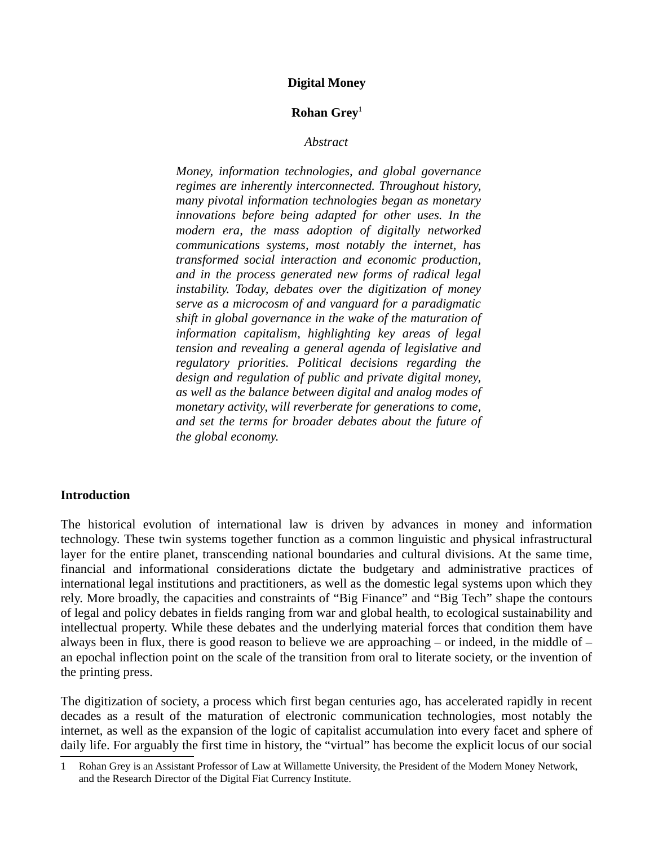## **Digital Money**

## **Rohan Grey**[1](#page-0-0)

#### *Abstract*

*Money, information technologies, and global governance regimes are inherently interconnected. Throughout history, many pivotal information technologies began as monetary innovations before being adapted for other uses. In the modern era, the mass adoption of digitally networked communications systems, most notably the internet, has transformed social interaction and economic production, and in the process generated new forms of radical legal instability. Today, debates over the digitization of money serve as a microcosm of and vanguard for a paradigmatic shift in global governance in the wake of the maturation of information capitalism, highlighting key areas of legal tension and revealing a general agenda of legislative and regulatory priorities. Political decisions regarding the design and regulation of public and private digital money, as well as the balance between digital and analog modes of monetary activity, will reverberate for generations to come, and set the terms for broader debates about the future of the global economy.*

### **Introduction**

The historical evolution of international law is driven by advances in money and information technology. These twin systems together function as a common linguistic and physical infrastructural layer for the entire planet, transcending national boundaries and cultural divisions. At the same time, financial and informational considerations dictate the budgetary and administrative practices of international legal institutions and practitioners, as well as the domestic legal systems upon which they rely. More broadly, the capacities and constraints of "Big Finance" and "Big Tech" shape the contours of legal and policy debates in fields ranging from war and global health, to ecological sustainability and intellectual property. While these debates and the underlying material forces that condition them have always been in flux, there is good reason to believe we are approaching  $-$  or indeed, in the middle of  $$ an epochal inflection point on the scale of the transition from oral to literate society, or the invention of the printing press.

The digitization of society, a process which first began centuries ago, has accelerated rapidly in recent decades as a result of the maturation of electronic communication technologies, most notably the internet, as well as the expansion of the logic of capitalist accumulation into every facet and sphere of daily life. For arguably the first time in history, the "virtual" has become the explicit locus of our social

<span id="page-0-0"></span><sup>1</sup> Rohan Grey is an Assistant Professor of Law at Willamette University, the President of the Modern Money Network, and the Research Director of the Digital Fiat Currency Institute.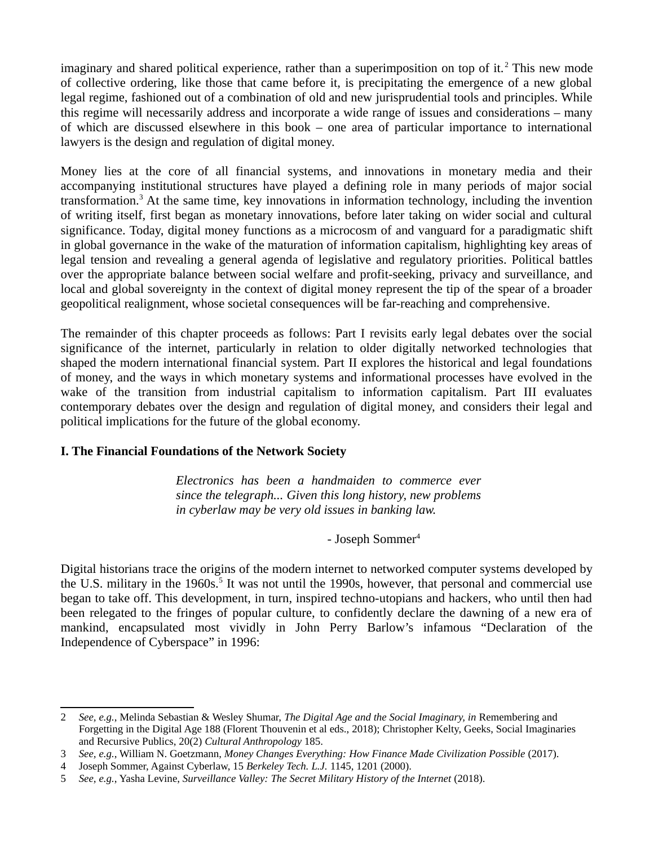imaginary and shared political experience, rather than a superimposition on top of it.<sup>[2](#page-1-0)</sup> This new mode of collective ordering, like those that came before it, is precipitating the emergence of a new global legal regime, fashioned out of a combination of old and new jurisprudential tools and principles. While this regime will necessarily address and incorporate a wide range of issues and considerations – many of which are discussed elsewhere in this book – one area of particular importance to international lawyers is the design and regulation of digital money.

Money lies at the core of all financial systems, and innovations in monetary media and their accompanying institutional structures have played a defining role in many periods of major social transformation.<sup>[3](#page-1-1)</sup> At the same time, key innovations in information technology, including the invention of writing itself, first began as monetary innovations, before later taking on wider social and cultural significance. Today, digital money functions as a microcosm of and vanguard for a paradigmatic shift in global governance in the wake of the maturation of information capitalism, highlighting key areas of legal tension and revealing a general agenda of legislative and regulatory priorities. Political battles over the appropriate balance between social welfare and profit-seeking, privacy and surveillance, and local and global sovereignty in the context of digital money represent the tip of the spear of a broader geopolitical realignment, whose societal consequences will be far-reaching and comprehensive.

The remainder of this chapter proceeds as follows: Part I revisits early legal debates over the social significance of the internet, particularly in relation to older digitally networked technologies that shaped the modern international financial system. Part II explores the historical and legal foundations of money, and the ways in which monetary systems and informational processes have evolved in the wake of the transition from industrial capitalism to information capitalism. Part III evaluates contemporary debates over the design and regulation of digital money, and considers their legal and political implications for the future of the global economy.

# **I. The Financial Foundations of the Network Society**

*Electronics has been a handmaiden to commerce ever since the telegraph... Given this long history, new problems in cyberlaw may be very old issues in banking law.*

 $-$  Joseph Sommer<sup>[4](#page-1-2)</sup>

Digital historians trace the origins of the modern internet to networked computer systems developed by the U.S. military in the 1960s.<sup>[5](#page-1-3)</sup> It was not until the 1990s, however, that personal and commercial use began to take off. This development, in turn, inspired techno-utopians and hackers, who until then had been relegated to the fringes of popular culture, to confidently declare the dawning of a new era of mankind, encapsulated most vividly in John Perry Barlow's infamous "Declaration of the Independence of Cyberspace" in 1996:

<span id="page-1-0"></span><sup>2</sup> *See, e.g.*, Melinda Sebastian & Wesley Shumar, *The Digital Age and the Social Imaginary, in* Remembering and Forgetting in the Digital Age 188 (Florent Thouvenin et al eds., 2018); Christopher Kelty, Geeks, Social Imaginaries and Recursive Publics, 20(2) *Cultural Anthropology* 185.

<span id="page-1-1"></span><sup>3</sup> *See, e.g.*, William N. Goetzmann, *Money Changes Everything: How Finance Made Civilization Possible* (2017).

<span id="page-1-2"></span><sup>4</sup> Joseph Sommer, Against Cyberlaw, 15 *Berkeley Tech. L.J.* 1145, 1201 (2000).

<span id="page-1-3"></span><sup>5</sup> *See, e.g.*, Yasha Levine, *Surveillance Valley: The Secret Military History of the Internet* (2018).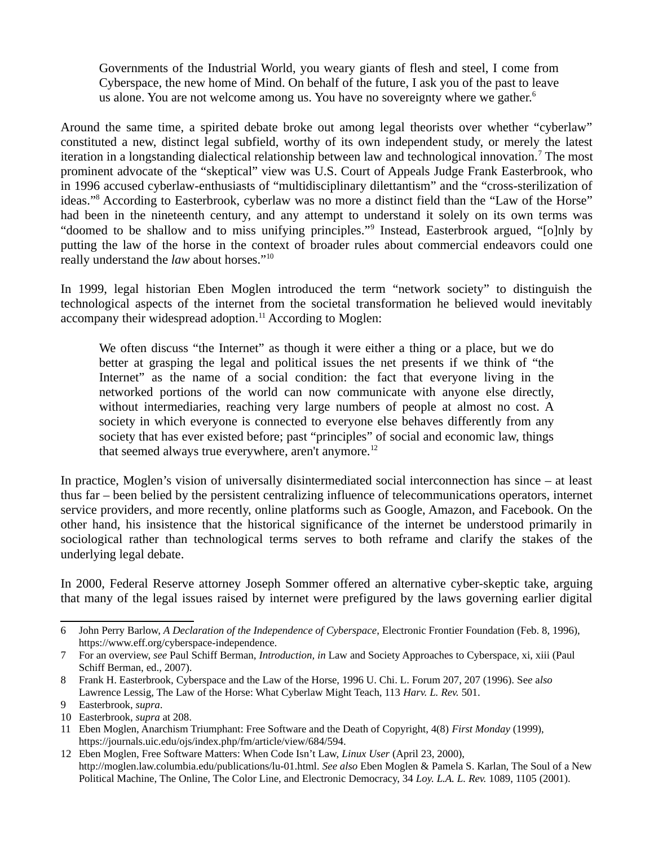Governments of the Industrial World, you weary giants of flesh and steel, I come from Cyberspace, the new home of Mind. On behalf of the future, I ask you of the past to leave us alone. You are not welcome among us. You have no sovereignty where we gather. $6\sigma$  $6\sigma$ 

Around the same time, a spirited debate broke out among legal theorists over whether "cyberlaw" constituted a new, distinct legal subfield, worthy of its own independent study, or merely the latest iteration in a longstanding dialectical relationship between law and technological innovation.<sup>[7](#page-2-1)</sup> The most prominent advocate of the "skeptical" view was U.S. Court of Appeals Judge Frank Easterbrook, who in 1996 accused cyberlaw-enthusiasts of "multidisciplinary dilettantism" and the "cross-sterilization of ideas."<sup>[8](#page-2-2)</sup> According to Easterbrook, cyberlaw was no more a distinct field than the "Law of the Horse" had been in the nineteenth century, and any attempt to understand it solely on its own terms was "doomed to be shallow and to miss unifying principles."<sup>[9](#page-2-3)</sup> Instead, Easterbrook argued, "[o]nly by putting the law of the horse in the context of broader rules about commercial endeavors could one really understand the *law* about horses."[10](#page-2-4)

In 1999, legal historian Eben Moglen introduced the term "network society" to distinguish the technological aspects of the internet from the societal transformation he believed would inevitably accompany their widespread adoption.<sup>[11](#page-2-5)</sup> According to Moglen:

We often discuss "the Internet" as though it were either a thing or a place, but we do better at grasping the legal and political issues the net presents if we think of "the Internet" as the name of a social condition: the fact that everyone living in the networked portions of the world can now communicate with anyone else directly, without intermediaries, reaching very large numbers of people at almost no cost. A society in which everyone is connected to everyone else behaves differently from any society that has ever existed before; past "principles" of social and economic law, things that seemed always true everywhere, aren't anymore.<sup>[12](#page-2-6)</sup>

In practice, Moglen's vision of universally disintermediated social interconnection has since – at least thus far – been belied by the persistent centralizing influence of telecommunications operators, internet service providers, and more recently, online platforms such as Google, Amazon, and Facebook. On the other hand, his insistence that the historical significance of the internet be understood primarily in sociological rather than technological terms serves to both reframe and clarify the stakes of the underlying legal debate.

In 2000, Federal Reserve attorney Joseph Sommer offered an alternative cyber-skeptic take, arguing that many of the legal issues raised by internet were prefigured by the laws governing earlier digital

- <span id="page-2-3"></span>9 Easterbrook, *supra*.
- <span id="page-2-4"></span>10 Easterbrook, *supra* at 208.
- <span id="page-2-5"></span>11 Eben Moglen, Anarchism Triumphant: Free Software and the Death of Copyright, 4(8) *First Monday* (1999), https://journals.uic.edu/ojs/index.php/fm/article/view/684/594.
- <span id="page-2-6"></span>12 Eben Moglen, Free Software Matters: When Code Isn't Law, *Linux User* (April 23, 2000), http://moglen.law.columbia.edu/publications/lu-01.html. *See also* Eben Moglen & Pamela S. Karlan, The Soul of a New Political Machine, The Online, The Color Line, and Electronic Democracy, 34 *Loy. L.A. L. Rev.* 1089, 1105 (2001).

<span id="page-2-0"></span><sup>6</sup> John Perry Barlow, *A Declaration of the Independence of Cyberspace*, Electronic Frontier Foundation (Feb. 8, 1996), https://www.eff.org/cyberspace-independence.

<span id="page-2-1"></span><sup>7</sup> For an overview, *see* Paul Schiff Berman, *Introduction, in* Law and Society Approaches to Cyberspace, xi, xiii (Paul Schiff Berman, ed., 2007).

<span id="page-2-2"></span><sup>8</sup> Frank H. Easterbrook, Cyberspace and the Law of the Horse, 1996 U. Chi. L. Forum 207, 207 (1996). Se*e* a*lso*  Lawrence Lessig, The Law of the Horse: What Cyberlaw Might Teach, 113 *Harv. L. Rev.* 501.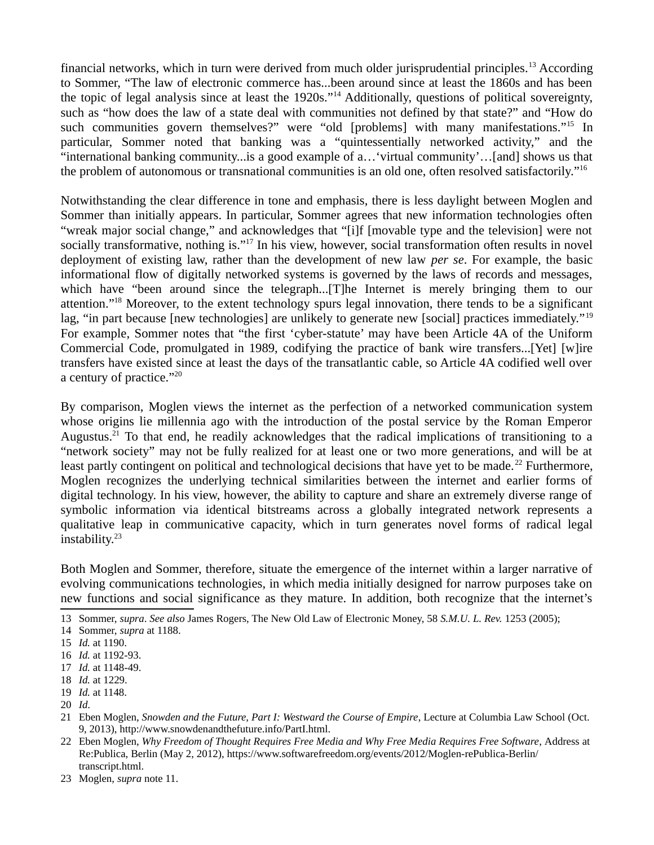financial networks, which in turn were derived from much older jurisprudential principles.<sup>[13](#page-3-0)</sup> According to Sommer, "The law of electronic commerce has...been around since at least the 1860s and has been the topic of legal analysis since at least the 1920s."<sup>[14](#page-3-1)</sup> Additionally, questions of political sovereignty, such as "how does the law of a state deal with communities not defined by that state?" and "How do such communities govern themselves?" were "old [problems] with many manifestations."<sup>[15](#page-3-2)</sup> In particular, Sommer noted that banking was a "quintessentially networked activity," and the "international banking community...is a good example of a…'virtual community'…[and] shows us that the problem of autonomous or transnational communities is an old one, often resolved satisfactorily."<sup>[16](#page-3-3)</sup>

Notwithstanding the clear difference in tone and emphasis, there is less daylight between Moglen and Sommer than initially appears. In particular, Sommer agrees that new information technologies often "wreak major social change," and acknowledges that "[i]f [movable type and the television] were not socially transformative, nothing is."<sup>[17](#page-3-4)</sup> In his view, however, social transformation often results in novel deployment of existing law, rather than the development of new law *per se*. For example, the basic informational flow of digitally networked systems is governed by the laws of records and messages, which have "been around since the telegraph...[T]he Internet is merely bringing them to our attention."[18](#page-3-5) Moreover, to the extent technology spurs legal innovation, there tends to be a significant lag, "in part because [new technologies] are unlikely to generate new [social] practices immediately."<sup>[19](#page-3-6)</sup> For example, Sommer notes that "the first 'cyber-statute' may have been Article 4A of the Uniform Commercial Code, promulgated in 1989, codifying the practice of bank wire transfers...[Yet] [w]ire transfers have existed since at least the days of the transatlantic cable, so Article 4A codified well over a century of practice."<sup>[20](#page-3-7)</sup>

By comparison, Moglen views the internet as the perfection of a networked communication system whose origins lie millennia ago with the introduction of the postal service by the Roman Emperor Augustus.<sup>[21](#page-3-8)</sup> To that end, he readily acknowledges that the radical implications of transitioning to a "network society" may not be fully realized for at least one or two more generations, and will be at least partly contingent on political and technological decisions that have yet to be made.<sup>[22](#page-3-9)</sup> Furthermore, Moglen recognizes the underlying technical similarities between the internet and earlier forms of digital technology. In his view, however, the ability to capture and share an extremely diverse range of symbolic information via identical bitstreams across a globally integrated network represents a qualitative leap in communicative capacity, which in turn generates novel forms of radical legal instability.<sup>[23](#page-3-10)</sup>

Both Moglen and Sommer, therefore, situate the emergence of the internet within a larger narrative of evolving communications technologies, in which media initially designed for narrow purposes take on new functions and social significance as they mature. In addition, both recognize that the internet's

- <span id="page-3-6"></span>19 *Id.* at 1148.
- <span id="page-3-7"></span>20 *Id*.

<span id="page-3-9"></span>22 Eben Moglen, *Why Freedom of Thought Requires Free Media and Why Free Media Requires Free Software*, Address at Re:Publica, Berlin (May 2, 2012), https://www.softwarefreedom.org/events/2012/Moglen-rePublica-Berlin/ transcript.html.

<span id="page-3-0"></span><sup>13</sup> Sommer, *supra*. *See also* James Rogers, The New Old Law of Electronic Money, 58 *S.M.U. L. Rev.* 1253 (2005);

<span id="page-3-1"></span><sup>14</sup> Sommer, *supra* at 1188.

<span id="page-3-2"></span><sup>15</sup> *Id.* at 1190.

<span id="page-3-3"></span><sup>16</sup> *Id.* at 1192-93.

<span id="page-3-4"></span><sup>17</sup> *Id.* at 1148-49.

<span id="page-3-5"></span><sup>18</sup> *Id.* at 1229.

<span id="page-3-8"></span><sup>21</sup> Eben Moglen, *Snowden and the Future, Part I: Westward the Course of Empire*, Lecture at Columbia Law School (Oct. 9, 2013), http://www.snowdenandthefuture.info/PartI.html.

<span id="page-3-10"></span><sup>23</sup> Moglen, *supra* note 11.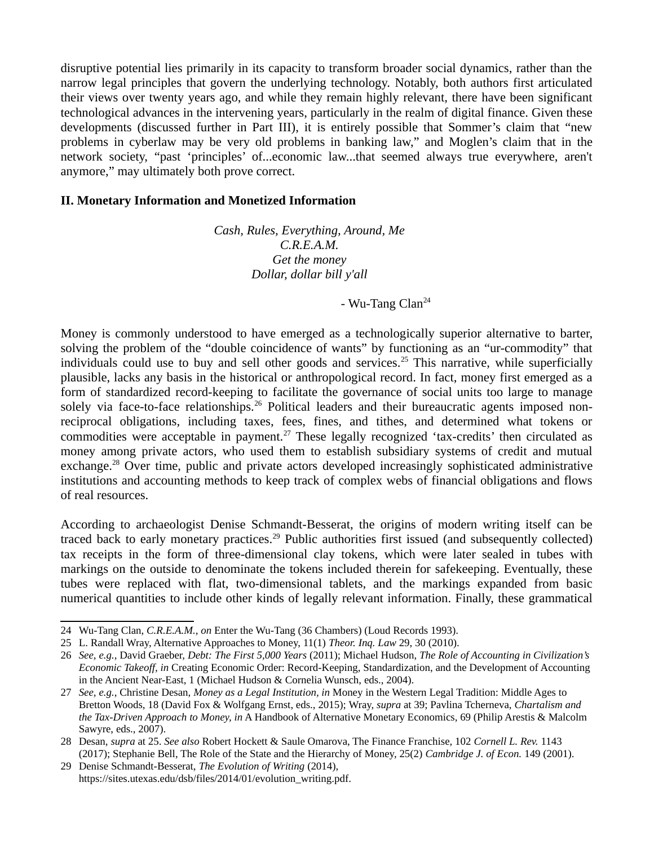disruptive potential lies primarily in its capacity to transform broader social dynamics, rather than the narrow legal principles that govern the underlying technology. Notably, both authors first articulated their views over twenty years ago, and while they remain highly relevant, there have been significant technological advances in the intervening years, particularly in the realm of digital finance. Given these developments (discussed further in Part III), it is entirely possible that Sommer's claim that "new problems in cyberlaw may be very old problems in banking law," and Moglen's claim that in the network society, "past 'principles' of...economic law...that seemed always true everywhere, aren't anymore," may ultimately both prove correct.

#### **II. Monetary Information and Monetized Information**

*Cash, Rules, Everything, Around, Me C.R.E.A.M. Get the money Dollar, dollar bill y'all*

- Wu-Tang  $Clan<sup>24</sup>$  $Clan<sup>24</sup>$  $Clan<sup>24</sup>$ 

Money is commonly understood to have emerged as a technologically superior alternative to barter, solving the problem of the "double coincidence of wants" by functioning as an "ur-commodity" that individuals could use to buy and sell other goods and services.<sup>[25](#page-4-1)</sup> This narrative, while superficially plausible, lacks any basis in the historical or anthropological record. In fact, money first emerged as a form of standardized record-keeping to facilitate the governance of social units too large to manage solely via face-to-face relationships.<sup>[26](#page-4-2)</sup> Political leaders and their bureaucratic agents imposed nonreciprocal obligations, including taxes, fees, fines, and tithes, and determined what tokens or commodities were acceptable in payment.<sup>[27](#page-4-3)</sup> These legally recognized 'tax-credits' then circulated as money among private actors, who used them to establish subsidiary systems of credit and mutual exchange.<sup>[28](#page-4-4)</sup> Over time, public and private actors developed increasingly sophisticated administrative institutions and accounting methods to keep track of complex webs of financial obligations and flows of real resources.

According to archaeologist Denise Schmandt-Besserat, the origins of modern writing itself can be traced back to early monetary practices.<sup>[29](#page-4-5)</sup> Public authorities first issued (and subsequently collected) tax receipts in the form of three-dimensional clay tokens, which were later sealed in tubes with markings on the outside to denominate the tokens included therein for safekeeping. Eventually, these tubes were replaced with flat, two-dimensional tablets, and the markings expanded from basic numerical quantities to include other kinds of legally relevant information. Finally, these grammatical

<span id="page-4-0"></span><sup>24</sup> Wu-Tang Clan, *C.R.E.A.M., on* Enter the Wu-Tang (36 Chambers) (Loud Records 1993).

<span id="page-4-1"></span><sup>25</sup> L. Randall Wray, Alternative Approaches to Money, 11(1) *Theor. Inq. Law* 29, 30 (2010).

<span id="page-4-2"></span><sup>26</sup> *See, e.g.*, David Graeber, *Debt: The First 5,000 Years* (2011); Michael Hudson, *The Role of Accounting in Civilization's Economic Takeoff, in* Creating Economic Order: Record-Keeping, Standardization, and the Development of Accounting in the Ancient Near-East, 1 (Michael Hudson & Cornelia Wunsch, eds., 2004).

<span id="page-4-3"></span><sup>27</sup> *See, e.g.*, Christine Desan, *Money as a Legal Institution, in* Money in the Western Legal Tradition: Middle Ages to Bretton Woods, 18 (David Fox & Wolfgang Ernst, eds., 2015); Wray, *supra* at 39; Pavlina Tcherneva, *Chartalism and the Tax-Driven Approach to Money, in* A Handbook of Alternative Monetary Economics, 69 (Philip Arestis & Malcolm Sawyre, eds., 2007).

<span id="page-4-4"></span><sup>28</sup> Desan, *supra* at 25. *See also* Robert Hockett & Saule Omarova, The Finance Franchise, 102 *Cornell L. Rev.* 1143 (2017); Stephanie Bell, The Role of the State and the Hierarchy of Money, 25(2) *Cambridge J. of Econ.* 149 (2001).

<span id="page-4-5"></span><sup>29</sup> Denise Schmandt-Besserat, *The Evolution of Writing* (2014), https://sites.utexas.edu/dsb/files/2014/01/evolution\_writing.pdf.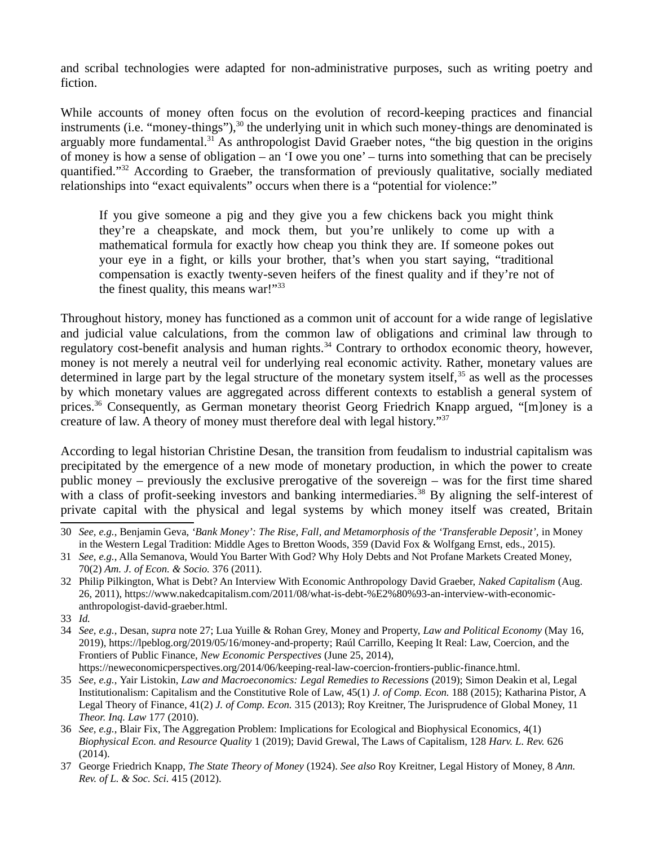and scribal technologies were adapted for non-administrative purposes, such as writing poetry and fiction.

While accounts of money often focus on the evolution of record-keeping practices and financial instruments (i.e. "money-things"),<sup>[30](#page-5-0)</sup> the underlying unit in which such money-things are denominated is arguably more fundamental.<sup>[31](#page-5-1)</sup> As anthropologist David Graeber notes, "the big question in the origins of money is how a sense of obligation – an 'I owe you one' – turns into something that can be precisely quantified."<sup>[32](#page-5-2)</sup> According to Graeber, the transformation of previously qualitative, socially mediated relationships into "exact equivalents" occurs when there is a "potential for violence:"

If you give someone a pig and they give you a few chickens back you might think they're a cheapskate, and mock them, but you're unlikely to come up with a mathematical formula for exactly how cheap you think they are. If someone pokes out your eye in a fight, or kills your brother, that's when you start saying, "traditional compensation is exactly twenty-seven heifers of the finest quality and if they're not of the finest quality, this means war!" $33$ 

Throughout history, money has functioned as a common unit of account for a wide range of legislative and judicial value calculations, from the common law of obligations and criminal law through to regulatory cost-benefit analysis and human rights.<sup>[34](#page-5-4)</sup> Contrary to orthodox economic theory, however, money is not merely a neutral veil for underlying real economic activity. Rather, monetary values are determined in large part by the legal structure of the monetary system itself, $35$  as well as the processes by which monetary values are aggregated across different contexts to establish a general system of prices.<sup>[36](#page-5-6)</sup> Consequently, as German monetary theorist Georg Friedrich Knapp argued, "[m]oney is a creature of law. A theory of money must therefore deal with legal history."[37](#page-5-7)

According to legal historian Christine Desan, the transition from feudalism to industrial capitalism was precipitated by the emergence of a new mode of monetary production, in which the power to create public money – previously the exclusive prerogative of the sovereign – was for the first time shared with a class of profit-seeking investors and banking intermediaries.<sup>38</sup> By aligning the self-interest of private capital with the physical and legal systems by which money itself was created, Britain

<span id="page-5-0"></span><sup>30</sup> *See, e.g.*, Benjamin Geva, *'Bank Money': The Rise, Fall, and Metamorphosis of the 'Transferable Deposit',* in Money in the Western Legal Tradition: Middle Ages to Bretton Woods, 359 (David Fox & Wolfgang Ernst, eds., 2015).

<span id="page-5-1"></span><sup>31</sup> *See, e.g.*, Alla Semanova, Would You Barter With God? Why Holy Debts and Not Profane Markets Created Money, 70(2) *Am. J. of Econ. & Socio.* 376 (2011).

<span id="page-5-2"></span><sup>32</sup> Philip Pilkington, What is Debt? An Interview With Economic Anthropology David Graeber, *Naked Capitalism* (Aug. 26, 2011), https://www.nakedcapitalism.com/2011/08/what-is-debt-%E2%80%93-an-interview-with-economicanthropologist-david-graeber.html.

<span id="page-5-3"></span><sup>33</sup> *Id.*

<span id="page-5-4"></span><sup>34</sup> *See, e.g.*, Desan, *supra* note 27; Lua Yuille & Rohan Grey, Money and Property, *Law and Political Economy* (May 16, 2019), https://lpeblog.org/2019/05/16/money-and-property; Raúl Carrillo, Keeping It Real: Law, Coercion, and the Frontiers of Public Finance, *New Economic Perspectives* (June 25, 2014), https://neweconomicperspectives.org/2014/06/keeping-real-law-coercion-frontiers-public-finance.html.

<span id="page-5-5"></span><sup>35</sup> *See, e.g.*, Yair Listokin, *Law and Macroeconomics: Legal Remedies to Recessions* (2019); Simon Deakin et al, Legal Institutionalism: Capitalism and the Constitutive Role of Law, 45(1) *J. of Comp. Econ.* 188 (2015); Katharina Pistor, A Legal Theory of Finance, 41(2) *J. of Comp. Econ.* 315 (2013); Roy Kreitner, The Jurisprudence of Global Money, 11 *Theor. Inq. Law* 177 (2010).

<span id="page-5-6"></span><sup>36</sup> *See, e.g.*, Blair Fix, The Aggregation Problem: Implications for Ecological and Biophysical Economics, 4(1) *Biophysical Econ. and Resource Quality* 1 (2019); David Grewal, The Laws of Capitalism, 128 *Harv. L. Rev.* 626 (2014).

<span id="page-5-7"></span><sup>37</sup> George Friedrich Knapp, *The State Theory of Money* (1924). *See also* Roy Kreitner, Legal History of Money, 8 *Ann. Rev. of L. & Soc. Sci.* 415 (2012).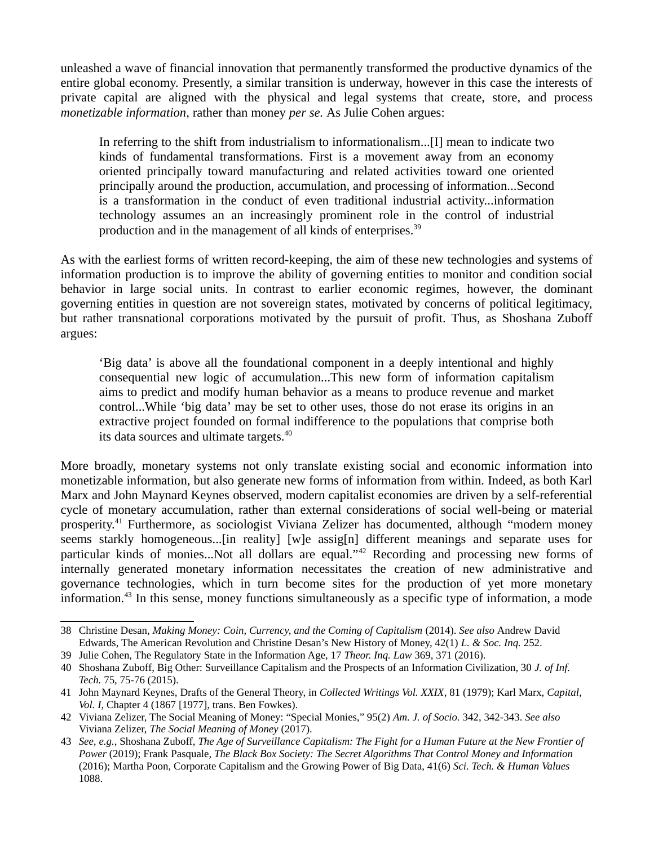unleashed a wave of financial innovation that permanently transformed the productive dynamics of the entire global economy. Presently, a similar transition is underway, however in this case the interests of private capital are aligned with the physical and legal systems that create, store, and process *monetizable information*, rather than money *per se.* As Julie Cohen argues:

In referring to the shift from industrialism to informationalism...[I] mean to indicate two kinds of fundamental transformations. First is a movement away from an economy oriented principally toward manufacturing and related activities toward one oriented principally around the production, accumulation, and processing of information...Second is a transformation in the conduct of even traditional industrial activity...information technology assumes an an increasingly prominent role in the control of industrial production and in the management of all kinds of enterprises.<sup>[39](#page-6-0)</sup>

As with the earliest forms of written record-keeping, the aim of these new technologies and systems of information production is to improve the ability of governing entities to monitor and condition social behavior in large social units. In contrast to earlier economic regimes, however, the dominant governing entities in question are not sovereign states, motivated by concerns of political legitimacy, but rather transnational corporations motivated by the pursuit of profit. Thus, as Shoshana Zuboff argues:

'Big data' is above all the foundational component in a deeply intentional and highly consequential new logic of accumulation...This new form of information capitalism aims to predict and modify human behavior as a means to produce revenue and market control...While 'big data' may be set to other uses, those do not erase its origins in an extractive project founded on formal indifference to the populations that comprise both its data sources and ultimate targets.<sup>[40](#page-6-1)</sup>

More broadly, monetary systems not only translate existing social and economic information into monetizable information, but also generate new forms of information from within. Indeed, as both Karl Marx and John Maynard Keynes observed, modern capitalist economies are driven by a self-referential cycle of monetary accumulation, rather than external considerations of social well-being or material prosperity.[41](#page-6-2) Furthermore, as sociologist Viviana Zelizer has documented, although "modern money seems starkly homogeneous...[in reality] [w]e assig[n] different meanings and separate uses for particular kinds of monies...Not all dollars are equal."<sup>[42](#page-6-3)</sup> Recording and processing new forms of internally generated monetary information necessitates the creation of new administrative and governance technologies, which in turn become sites for the production of yet more monetary information.[43](#page-6-4) In this sense, money functions simultaneously as a specific type of information, a mode

<sup>38</sup> Christine Desan, *Making Money: Coin, Currency, and the Coming of Capitalism* (2014). *See also* Andrew David Edwards, The American Revolution and Christine Desan's New History of Money, 42(1) *L. & Soc. Inq.* 252.

<span id="page-6-0"></span><sup>39</sup> Julie Cohen, The Regulatory State in the Information Age, 17 *Theor. Inq. Law* 369, 371 (2016).

<span id="page-6-1"></span><sup>40</sup> Shoshana Zuboff, Big Other: Surveillance Capitalism and the Prospects of an Information Civilization, 30 *J. of Inf. Tech.* 75, 75-76 (2015).

<span id="page-6-2"></span><sup>41</sup> John Maynard Keynes, Drafts of the General Theory, in *Collected Writings Vol. XXIX*, 81 (1979); Karl Marx, *Capital, Vol. I*, Chapter 4 (1867 [1977], trans. Ben Fowkes).

<span id="page-6-3"></span><sup>42</sup> Viviana Zelizer, The Social Meaning of Money: "Special Monies," 95(2) *Am. J. of Socio.* 342, 342-343. *See also*  Viviana Zelizer, *The Social Meaning of Money* (2017).

<span id="page-6-4"></span><sup>43</sup> *See, e.g.*, Shoshana Zuboff, *The Age of Surveillance Capitalism: The Fight for a Human Future at the New Frontier of Power* (2019); Frank Pasquale, *The Black Box Society: The Secret Algorithms That Control Money and Information* (2016); Martha Poon, Corporate Capitalism and the Growing Power of Big Data, 41(6) *Sci. Tech. & Human Values* 1088.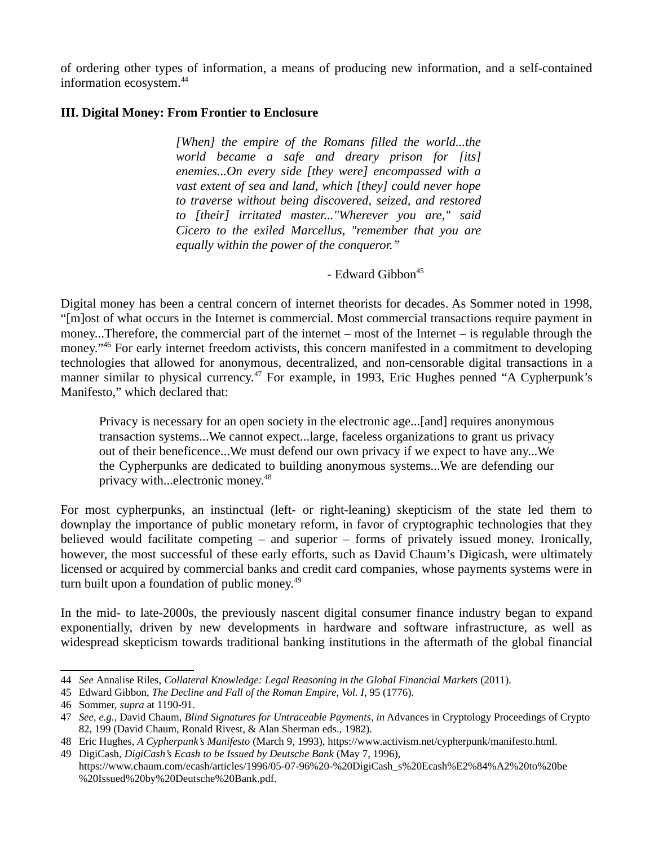of ordering other types of information, a means of producing new information, and a self-contained information ecosystem.<sup>[44](#page-7-0)</sup>

### **III. Digital Money: From Frontier to Enclosure**

*[When] the empire of the Romans filled the world...the world became a safe and dreary prison for [its] enemies...On every side [they were] encompassed with a vast extent of sea and land, which [they] could never hope to traverse without being discovered, seized, and restored to [their] irritated master..."Wherever you are," said Cicero to the exiled Marcellus, "remember that you are equally within the power of the conqueror."*

- Edward Gibbon $45$ 

Digital money has been a central concern of internet theorists for decades. As Sommer noted in 1998, "[m]ost of what occurs in the Internet is commercial. Most commercial transactions require payment in money...Therefore, the commercial part of the internet – most of the Internet – is regulable through the money."<sup>[46](#page-7-2)</sup> For early internet freedom activists, this concern manifested in a commitment to developing technologies that allowed for anonymous, decentralized, and non-censorable digital transactions in a manner similar to physical currency.<sup>[47](#page-7-3)</sup> For example, in 1993, Eric Hughes penned "A Cypherpunk's Manifesto," which declared that:

Privacy is necessary for an open society in the electronic age...[and] requires anonymous transaction systems...We cannot expect...large, faceless organizations to grant us privacy out of their beneficence...We must defend our own privacy if we expect to have any...We the Cypherpunks are dedicated to building anonymous systems...We are defending our privacy with...electronic money.[48](#page-7-4)

For most cypherpunks, an instinctual (left- or right-leaning) skepticism of the state led them to downplay the importance of public monetary reform, in favor of cryptographic technologies that they believed would facilitate competing – and superior – forms of privately issued money. Ironically, however, the most successful of these early efforts, such as David Chaum's Digicash, were ultimately licensed or acquired by commercial banks and credit card companies, whose payments systems were in turn built upon a foundation of public money.<sup>[49](#page-7-5)</sup>

In the mid- to late-2000s, the previously nascent digital consumer finance industry began to expand exponentially, driven by new developments in hardware and software infrastructure, as well as widespread skepticism towards traditional banking institutions in the aftermath of the global financial

<span id="page-7-0"></span><sup>44</sup> *See* Annalise Riles, *Collateral Knowledge: Legal Reasoning in the Global Financial Markets* (2011).

<span id="page-7-1"></span><sup>45</sup> Edward Gibbon, *The Decline and Fall of the Roman Empire, Vol. I*, 95 (1776).

<span id="page-7-2"></span><sup>46</sup> Sommer, *supra* at 1190-91.

<span id="page-7-3"></span><sup>47</sup> *See, e.g.*, David Chaum, *Blind Signatures for Untraceable Payments, in* Advances in Cryptology Proceedings of Crypto 82, 199 (David Chaum, Ronald Rivest, & Alan Sherman eds., 1982).

<span id="page-7-4"></span><sup>48</sup> Eric Hughes, *A Cypherpunk's Manifesto* (March 9, 1993), https://www.activism.net/cypherpunk/manifesto.html.

<span id="page-7-5"></span><sup>49</sup> DigiCash, *DigiCash's Ecash to be Issued by Deutsche Bank* (May 7, 1996), https://www.chaum.com/ecash/articles/1996/05-07-96%20-%20DigiCash\_s%20Ecash%E2%84%A2%20to%20be %20Issued%20by%20Deutsche%20Bank.pdf.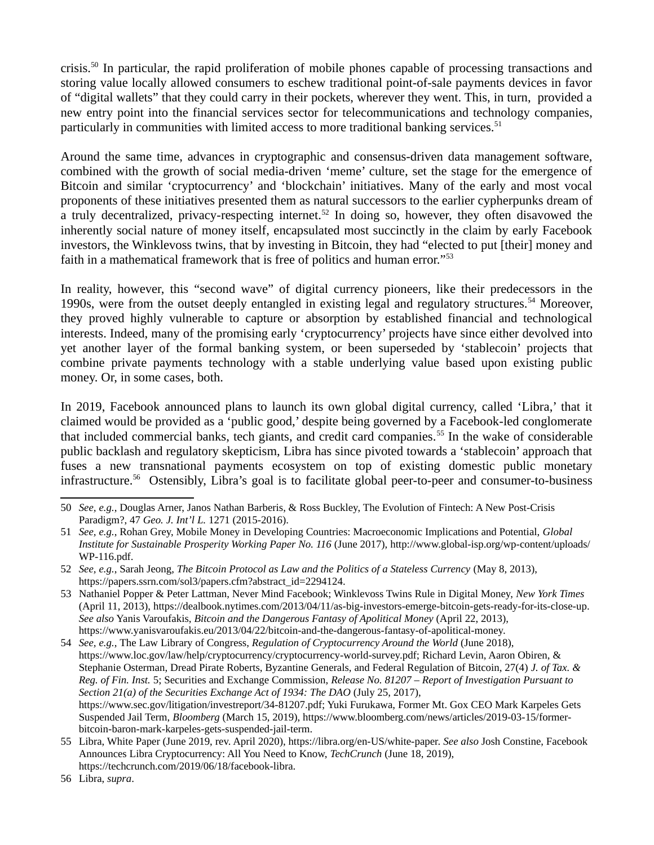crisis.[50](#page-8-0) In particular, the rapid proliferation of mobile phones capable of processing transactions and storing value locally allowed consumers to eschew traditional point-of-sale payments devices in favor of "digital wallets" that they could carry in their pockets, wherever they went. This, in turn, provided a new entry point into the financial services sector for telecommunications and technology companies, particularly in communities with limited access to more traditional banking services.<sup>[51](#page-8-1)</sup>

Around the same time, advances in cryptographic and consensus-driven data management software, combined with the growth of social media-driven 'meme' culture, set the stage for the emergence of Bitcoin and similar 'cryptocurrency' and 'blockchain' initiatives. Many of the early and most vocal proponents of these initiatives presented them as natural successors to the earlier cypherpunks dream of a truly decentralized, privacy-respecting internet.<sup>[52](#page-8-2)</sup> In doing so, however, they often disavowed the inherently social nature of money itself, encapsulated most succinctly in the claim by early Facebook investors, the Winklevoss twins, that by investing in Bitcoin, they had "elected to put [their] money and faith in a mathematical framework that is free of politics and human error."<sup>[53](#page-8-3)</sup>

In reality, however, this "second wave" of digital currency pioneers, like their predecessors in the 1990s, were from the outset deeply entangled in existing legal and regulatory structures.<sup>[54](#page-8-4)</sup> Moreover, they proved highly vulnerable to capture or absorption by established financial and technological interests. Indeed, many of the promising early 'cryptocurrency' projects have since either devolved into yet another layer of the formal banking system, or been superseded by 'stablecoin' projects that combine private payments technology with a stable underlying value based upon existing public money. Or, in some cases, both.

In 2019, Facebook announced plans to launch its own global digital currency, called 'Libra,' that it claimed would be provided as a 'public good,' despite being governed by a Facebook-led conglomerate that included commercial banks, tech giants, and credit card companies.<sup>[55](#page-8-5)</sup> In the wake of considerable public backlash and regulatory skepticism, Libra has since pivoted towards a 'stablecoin' approach that fuses a new transnational payments ecosystem on top of existing domestic public monetary infrastructure.[56](#page-8-6) Ostensibly, Libra's goal is to facilitate global peer-to-peer and consumer-to-business

<span id="page-8-4"></span>54 *See, e.g.*, The Law Library of Congress, *Regulation of Cryptocurrency Around the World* (June 2018), https://www.loc.gov/law/help/cryptocurrency/cryptocurrency-world-survey.pdf; Richard Levin, Aaron Obiren, & Stephanie Osterman, Dread Pirate Roberts, Byzantine Generals, and Federal Regulation of Bitcoin, 27(4) *J. of Tax. & Reg. of Fin. Inst.* 5; Securities and Exchange Commission, *Release No. 81207 – Report of Investigation Pursuant to Section 21(a) of the Securities Exchange Act of 1934: The DAO* (July 25, 2017), https://www.sec.gov/litigation/investreport/34-81207.pdf; Yuki Furukawa, Former Mt. Gox CEO Mark Karpeles Gets Suspended Jail Term, *Bloomberg* (March 15, 2019), https://www.bloomberg.com/news/articles/2019-03-15/formerbitcoin-baron-mark-karpeles-gets-suspended-jail-term.

<span id="page-8-0"></span><sup>50</sup> *See, e.g.*, Douglas Arner, Janos Nathan Barberis, & Ross Buckley, The Evolution of Fintech: A New Post-Crisis Paradigm?, 47 *Geo. J. Int'l L.* 1271 (2015-2016).

<span id="page-8-1"></span><sup>51</sup> *See, e.g.*, Rohan Grey, Mobile Money in Developing Countries: Macroeconomic Implications and Potential, *Global Institute for Sustainable Prosperity Working Paper No. 116* (June 2017), http://www.global-isp.org/wp-content/uploads/ WP-116.pdf.

<span id="page-8-2"></span><sup>52</sup> *See, e.g.*, Sarah Jeong, *The Bitcoin Protocol as Law and the Politics of a Stateless Currency* (May 8, 2013), https://papers.ssrn.com/sol3/papers.cfm?abstract\_id=2294124.

<span id="page-8-3"></span><sup>53</sup> Nathaniel Popper & Peter Lattman, Never Mind Facebook; Winklevoss Twins Rule in Digital Money, *New York Times* (April 11, 2013), https://dealbook.nytimes.com/2013/04/11/as-big-investors-emerge-bitcoin-gets-ready-for-its-close-up. *See also* Yanis Varoufakis, *Bitcoin and the Dangerous Fantasy of Apolitical Money* (April 22, 2013), https://www.yanisvaroufakis.eu/2013/04/22/bitcoin-and-the-dangerous-fantasy-of-apolitical-money.

<span id="page-8-5"></span><sup>55</sup> Libra, White Paper (June 2019, rev. April 2020), https://libra.org/en-US/white-paper. *See also* Josh Constine, Facebook Announces Libra Cryptocurrency: All You Need to Know, *TechCrunch* (June 18, 2019), https://techcrunch.com/2019/06/18/facebook-libra.

<span id="page-8-6"></span><sup>56</sup> Libra, *supra*.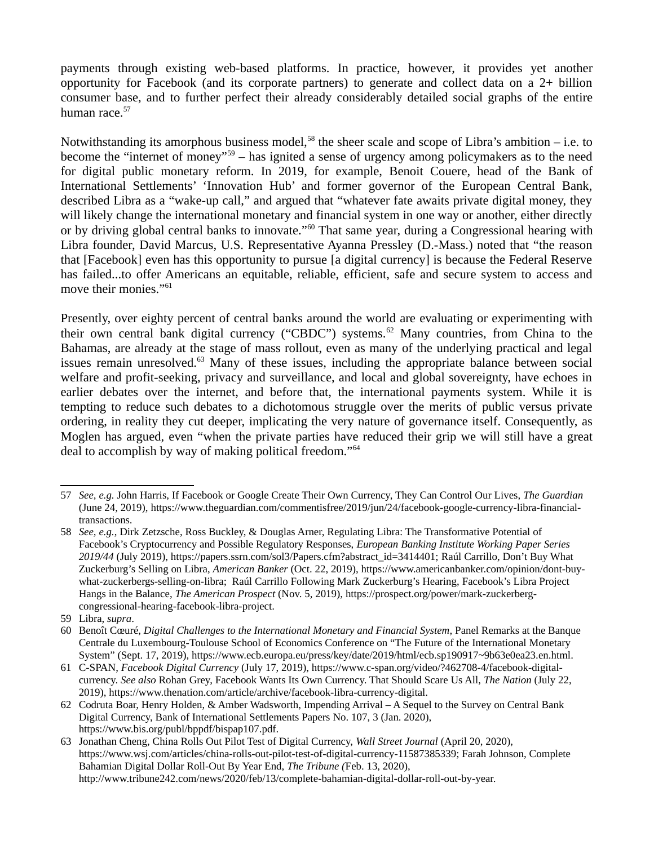payments through existing web-based platforms. In practice, however, it provides yet another opportunity for Facebook (and its corporate partners) to generate and collect data on a 2+ billion consumer base, and to further perfect their already considerably detailed social graphs of the entire human race.<sup>[57](#page-9-0)</sup>

Notwithstanding its amorphous business model,<sup>[58](#page-9-1)</sup> the sheer scale and scope of Libra's ambition – i.e. to become the "internet of money"<sup>[59](#page-9-2)</sup> – has ignited a sense of urgency among policymakers as to the need for digital public monetary reform. In 2019, for example, Benoit Couere, head of the Bank of International Settlements' 'Innovation Hub' and former governor of the European Central Bank, described Libra as a "wake-up call," and argued that "whatever fate awaits private digital money, they will likely change the international monetary and financial system in one way or another, either directly or by driving global central banks to innovate."<sup>[60](#page-9-3)</sup> That same year, during a Congressional hearing with Libra founder, David Marcus, U.S. Representative Ayanna Pressley (D.-Mass.) noted that "the reason that [Facebook] even has this opportunity to pursue [a digital currency] is because the Federal Reserve has failed...to offer Americans an equitable, reliable, efficient, safe and secure system to access and move their monies."<sup>[61](#page-9-4)</sup>

Presently, over eighty percent of central banks around the world are evaluating or experimenting with their own central bank digital currency ("CBDC") systems.<sup>[62](#page-9-5)</sup> Many countries, from China to the Bahamas, are already at the stage of mass rollout, even as many of the underlying practical and legal issues remain unresolved. $63$  Many of these issues, including the appropriate balance between social welfare and profit-seeking, privacy and surveillance, and local and global sovereignty, have echoes in earlier debates over the internet, and before that, the international payments system. While it is tempting to reduce such debates to a dichotomous struggle over the merits of public versus private ordering, in reality they cut deeper, implicating the very nature of governance itself. Consequently, as Moglen has argued, even "when the private parties have reduced their grip we will still have a great deal to accomplish by way of making political freedom."<sup>64</sup>

<span id="page-9-0"></span><sup>57</sup> *See, e.g.* John Harris, If Facebook or Google Create Their Own Currency, They Can Control Our Lives, *The Guardian*  (June 24, 2019), https://www.theguardian.com/commentisfree/2019/jun/24/facebook-google-currency-libra-financialtransactions.

<span id="page-9-1"></span><sup>58</sup> *See, e.g.*, Dirk Zetzsche, Ross Buckley, & Douglas Arner, Regulating Libra: The Transformative Potential of Facebook's Cryptocurrency and Possible Regulatory Responses, *European Banking Institute Working Paper Series 2019/44* (July 2019), https://papers.ssrn.com/sol3/Papers.cfm?abstract\_id=3414401; Raúl Carrillo, Don't Buy What Zuckerburg's Selling on Libra, *American Banker* (Oct. 22, 2019), https://www.americanbanker.com/opinion/dont-buywhat-zuckerbergs-selling-on-libra; Raúl Carrillo Following Mark Zuckerburg's Hearing, Facebook's Libra Project Hangs in the Balance, *The American Prospect* (Nov. 5, 2019), https://prospect.org/power/mark-zuckerbergcongressional-hearing-facebook-libra-project.

<span id="page-9-2"></span><sup>59</sup> Libra, *supra*.

<span id="page-9-3"></span><sup>60</sup> Benoît Cœuré, *Digital Challenges to the International Monetary and Financial System*, Panel Remarks at the Banque Centrale du Luxembourg-Toulouse School of Economics Conference on "The Future of the International Monetary System" (Sept. 17, 2019), https://www.ecb.europa.eu/press/key/date/2019/html/ecb.sp190917~9b63e0ea23.en.html.

<span id="page-9-4"></span><sup>61</sup> C-SPAN, *Facebook Digital Currency* (July 17, 2019), https://www.c-span.org/video/?462708-4/facebook-digitalcurrency. *See also* Rohan Grey, Facebook Wants Its Own Currency. That Should Scare Us All, *The Nation* (July 22, 2019), https://www.thenation.com/article/archive/facebook-libra-currency-digital.

<span id="page-9-5"></span><sup>62</sup> Codruta Boar, Henry Holden, & Amber Wadsworth, Impending Arrival – A Sequel to the Survey on Central Bank Digital Currency, Bank of International Settlements Papers No. 107, 3 (Jan. 2020), https://www.bis.org/publ/bppdf/bispap107.pdf.

<span id="page-9-6"></span><sup>63</sup> Jonathan Cheng, China Rolls Out Pilot Test of Digital Currency, *Wall Street Journal* (April 20, 2020), https://www.wsj.com/articles/china-rolls-out-pilot-test-of-digital-currency-11587385339; Farah Johnson, Complete Bahamian Digital Dollar Roll-Out By Year End, *The Tribune (*Feb. 13, 2020), http://www.tribune242.com/news/2020/feb/13/complete-bahamian-digital-dollar-roll-out-by-year.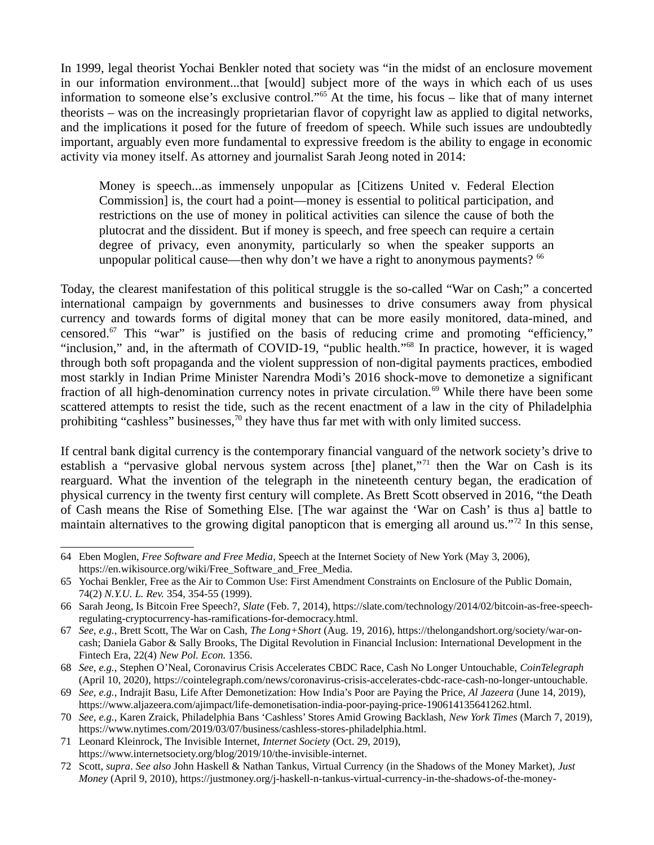In 1999, legal theorist Yochai Benkler noted that society was "in the midst of an enclosure movement in our information environment...that [would] subject more of the ways in which each of us uses information to someone else's exclusive control."[65](#page-10-0) At the time, his focus – like that of many internet theorists – was on the increasingly proprietarian flavor of copyright law as applied to digital networks, and the implications it posed for the future of freedom of speech. While such issues are undoubtedly important, arguably even more fundamental to expressive freedom is the ability to engage in economic activity via money itself. As attorney and journalist Sarah Jeong noted in 2014:

Money is speech...as immensely unpopular as [Citizens United v. Federal Election Commission] is, the court had a point—money is essential to political participation, and restrictions on the use of money in political activities can silence the cause of both the plutocrat and the dissident. But if money is speech, and free speech can require a certain degree of privacy, even anonymity, particularly so when the speaker supports an unpopular political cause—then why don't we have a right to anonymous payments?  $66$ 

Today, the clearest manifestation of this political struggle is the so-called "War on Cash;" a concerted international campaign by governments and businesses to drive consumers away from physical currency and towards forms of digital money that can be more easily monitored, data-mined, and censored.[67](#page-10-2) This "war" is justified on the basis of reducing crime and promoting "efficiency," "inclusion," and, in the aftermath of COVID-19, "public health."<sup>[68](#page-10-3)</sup> In practice, however, it is waged through both soft propaganda and the violent suppression of non-digital payments practices, embodied most starkly in Indian Prime Minister Narendra Modi's 2016 shock-move to demonetize a significant fraction of all high-denomination currency notes in private circulation.<sup>[69](#page-10-4)</sup> While there have been some scattered attempts to resist the tide, such as the recent enactment of a law in the city of Philadelphia prohibiting "cashless" businesses, $\frac{70}{10}$  $\frac{70}{10}$  $\frac{70}{10}$  they have thus far met with with only limited success.

If central bank digital currency is the contemporary financial vanguard of the network society's drive to establish a "pervasive global nervous system across [the] planet,"<sup>[71](#page-10-6)</sup> then the War on Cash is its rearguard. What the invention of the telegraph in the nineteenth century began, the eradication of physical currency in the twenty first century will complete. As Brett Scott observed in 2016, "the Death of Cash means the Rise of Something Else. [The war against the 'War on Cash' is thus a] battle to maintain alternatives to the growing digital panopticon that is emerging all around us."<sup>[72](#page-10-7)</sup> In this sense,

<sup>64</sup> Eben Moglen, *Free Software and Free Media*, Speech at the Internet Society of New York (May 3, 2006), https://en.wikisource.org/wiki/Free\_Software\_and\_Free\_Media.

<span id="page-10-0"></span><sup>65</sup> Yochai Benkler, Free as the Air to Common Use: First Amendment Constraints on Enclosure of the Public Domain, 74(2) *N.Y.U. L. Rev.* 354, 354-55 (1999).

<span id="page-10-1"></span><sup>66</sup> Sarah Jeong, Is Bitcoin Free Speech?, *Slate* (Feb. 7, 2014), https://slate.com/technology/2014/02/bitcoin-as-free-speechregulating-cryptocurrency-has-ramifications-for-democracy.html.

<span id="page-10-2"></span><sup>67</sup> *See, e.g.*, Brett Scott, The War on Cash, *The Long+Short* (Aug. 19, 2016), https://thelongandshort.org/society/war-oncash; Daniela Gabor & Sally Brooks, The Digital Revolution in Financial Inclusion: International Development in the Fintech Era, 22(4) *New Pol. Econ.* 1356.

<span id="page-10-3"></span><sup>68</sup> *See, e.g.*, Stephen O'Neal, Coronavirus Crisis Accelerates CBDC Race, Cash No Longer Untouchable, *CoinTelegraph* (April 10, 2020), https://cointelegraph.com/news/coronavirus-crisis-accelerates-cbdc-race-cash-no-longer-untouchable.

<span id="page-10-4"></span><sup>69</sup> *See, e.g.*, Indrajit Basu, Life After Demonetization: How India's Poor are Paying the Price, *Al Jazeera* (June 14, 2019), https://www.aljazeera.com/ajimpact/life-demonetisation-india-poor-paying-price-190614135641262.html.

<span id="page-10-5"></span><sup>70</sup> *See, e.g.*, Karen Zraick, Philadelphia Bans 'Cashless' Stores Amid Growing Backlash, *New York Times* (March 7, 2019), https://www.nytimes.com/2019/03/07/business/cashless-stores-philadelphia.html.

<span id="page-10-6"></span><sup>71</sup> Leonard Kleinrock, The Invisible Internet, *Internet Society* (Oct. 29, 2019), https://www.internetsociety.org/blog/2019/10/the-invisible-internet.

<span id="page-10-7"></span><sup>72</sup> Scott, *supra*. *See also* John Haskell & Nathan Tankus, Virtual Currency (in the Shadows of the Money Market), *Just Money* (April 9, 2010), https://justmoney.org/j-haskell-n-tankus-virtual-currency-in-the-shadows-of-the-money-